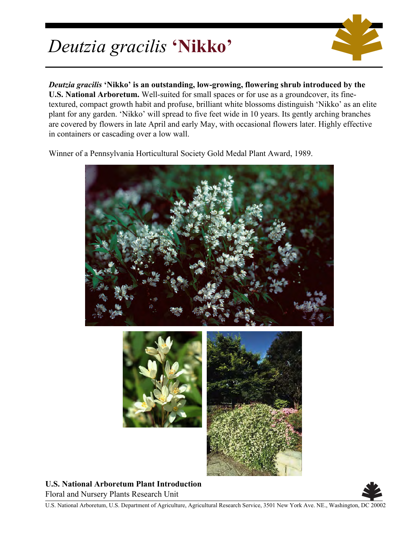## *Deutzia gracilis* **'Nikko'**



*Deutzia gracilis* **'Nikko' is an outstanding, low-growing, flowering shrub introduced by the U.S. National Arboretum.** Well-suited for small spaces or for use as a groundcover, its finetextured, compact growth habit and profuse, brilliant white blossoms distinguish 'Nikko' as an elite plant for any garden. 'Nikko' will spread to five feet wide in 10 years. Its gently arching branches are covered by flowers in late April and early May, with occasional flowers later. Highly effective in containers or cascading over a low wall.

Winner of a Pennsylvania Horticultural Society Gold Medal Plant Award, 1989.



**U.S. National Arboretum Plant Introduction** Floral and Nursery Plants Research Unit



U.S. National Arboretum, U.S. Department of Agriculture, Agricultural Research Service, 3501 New York Ave. NE., Washington, DC 20002